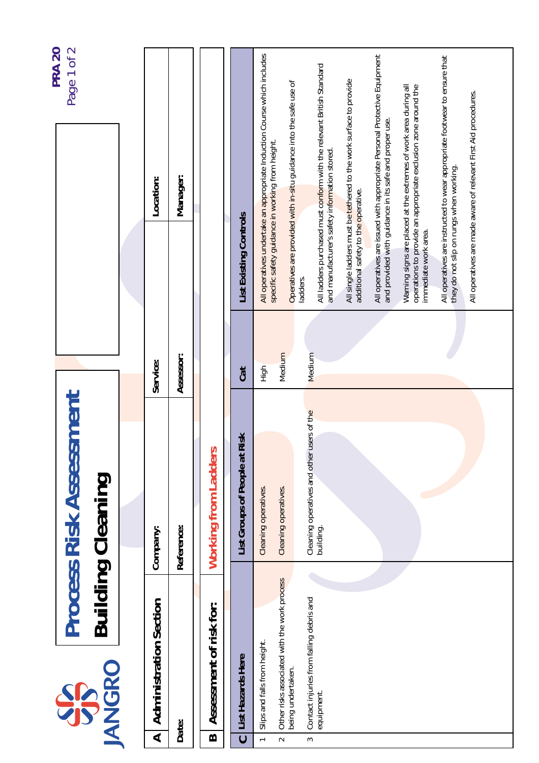| <b>PRA 20</b>        | Page 1 of 2                                                | Location:                          | Manager:   |                                                  |                                  | All operatives undertake an appropriate Induction Course which includes<br>specific safety guidance in working from height. | Operatives are provided with in-situ guidance into the safe use of | All ladders purchased must conform with the relevant British Standard<br>and manufacturer's safety information stored. | All single ladders must be tethered to the work surface to provide | All operatives are issued with appropriate Personal Protective Equipment<br>and provided with guidance in its safe and proper use. | Warning signs are placed at the extremes of work area during all<br>operations to provide an appropriate exclusion zone around the | All operatives are instructed to wear appropriate footwear to ensure that | All operatives are made aware of relevant First Aid procedures. |
|----------------------|------------------------------------------------------------|------------------------------------|------------|--------------------------------------------------|----------------------------------|-----------------------------------------------------------------------------------------------------------------------------|--------------------------------------------------------------------|------------------------------------------------------------------------------------------------------------------------|--------------------------------------------------------------------|------------------------------------------------------------------------------------------------------------------------------------|------------------------------------------------------------------------------------------------------------------------------------|---------------------------------------------------------------------------|-----------------------------------------------------------------|
|                      |                                                            |                                    |            |                                                  | <b>List Existing Controls</b>    |                                                                                                                             |                                                                    | ladders.                                                                                                               | additional safety to the operative.                                |                                                                                                                                    | immediate work area.                                                                                                               | they do not slip on rungs when working.                                   |                                                                 |
|                      |                                                            | Service:                           | Assessor:  |                                                  | Cat                              | High                                                                                                                        | Medium                                                             | Medium                                                                                                                 |                                                                    |                                                                                                                                    |                                                                                                                                    |                                                                           |                                                                 |
|                      | <b>Process Risk Assessment</b><br><b>Building Cleaning</b> |                                    |            |                                                  |                                  |                                                                                                                             |                                                                    | users of the                                                                                                           |                                                                    |                                                                                                                                    |                                                                                                                                    |                                                                           |                                                                 |
|                      |                                                            | Company:                           | Reference: | Working from Ladders                             | Risk<br>List Groups of People at | Cleaning operatives.                                                                                                        | Cleaning operatives.                                               | Cleaning operatives and other<br>building.                                                                             |                                                                    |                                                                                                                                    |                                                                                                                                    |                                                                           |                                                                 |
|                      |                                                            |                                    |            |                                                  |                                  |                                                                                                                             |                                                                    |                                                                                                                        |                                                                    |                                                                                                                                    |                                                                                                                                    |                                                                           |                                                                 |
|                      |                                                            |                                    |            |                                                  |                                  |                                                                                                                             |                                                                    |                                                                                                                        |                                                                    |                                                                                                                                    |                                                                                                                                    |                                                                           |                                                                 |
| <b>JANGRO</b><br>SPS |                                                            | <b>Administration Section</b><br>⋖ | Date:      | Assessment of risk for:<br>$\boldsymbol{\omega}$ | List Hazards Here                | Slips and falls from height.                                                                                                | Other risks associated with the work process<br>being undertaken.  | Contact injuries from falling debris and<br>equipment.                                                                 |                                                                    |                                                                                                                                    |                                                                                                                                    |                                                                           |                                                                 |
|                      |                                                            |                                    |            |                                                  | $\ddot{\phantom{0}}$             | $\overline{\phantom{0}}$                                                                                                    | $\sim$                                                             | $\sim$                                                                                                                 |                                                                    |                                                                                                                                    |                                                                                                                                    |                                                                           |                                                                 |